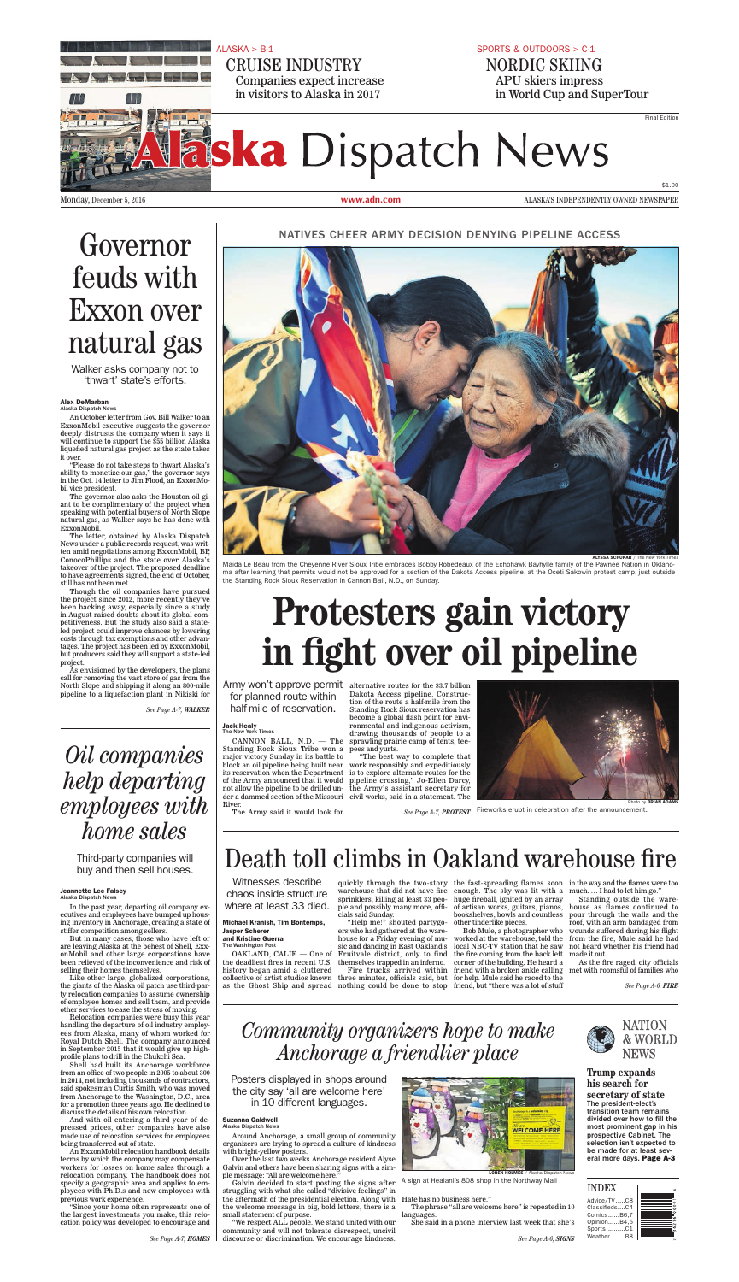$ALASKA > B-1$ 



**CRUISE INDUSTRY** Companies expect increase in visitors to Alaska in 2017

#### SPORTS & OUTDOORS > C-1 NORDIC SKIING APU skiers impress in World Cup and SuperTour

**Final Edition** 

# **Haska** Dispatch News

Monday, December 5, 2016

www.adn.com

\$1.00 ALASKA'S INDEPENDENTLY OWNED NEWSPAPER

Governor feuds with **Exxon** over natural gas

Walker asks company not to 'thwart' state's efforts.

#### **Alex DeMarban** Alaska Dispatch News

An October letter from Gov. Bill Walker to an ExxonMobil executive suggests the governor deeply distrusts the company when it says it<br>will continue to support the \$55 billion Alaska liquefied natural gas project as the state takes it over.

"Please do not take steps to thwart Alaska's<br>ability to monetize our gas," the governor says<br>in the Oct. 14 letter to Jim Flood, an ExxonMobil vice president.

The governor also asks the Houston oil giant to be complimentary of the project when speaking with potential buyers of North Slope natural gas, as Walker says he has done with ExxonMobil.

The letter, obtained by Alaska Dispatch News under a public records request, was written amid negotiations among ExxonMobil, BP, conocoPhillips and the state over Alaska's<br>takeover of the project. The proposed deadline<br>to have agreements signed, the end of October, still has not been met.

Though the oil companies have pursued the project since 2012, more recently they've<br>been backing away, especially since a study in August raised doubts about its global competitiveness. But the study also said a stateled project could improve chances by lowering costs through tax exemptions and other advantages. The project has been led by ExxonMobil, but producers said they will support a state-led project.

As envisioned by the developers, the plans call for removing the vast store of gas from the North Slope and shipping it along an 800-mile pipeline to a liquefaction plant in Nikiski for NATIVES CHEER ARMY DECISION DENYING PIPELINE ACCESS



ALYSSA SCHUKAR / The Net

Maida Le Beau from the Cheyenne River Sioux Tribe embraces Bobby Robedeaux of the Echohawk Bayhylle family of the Pawnee Nation in Oklahoma after learning that permits would not be approved for a section of the Dakota Access pipeline, at the Oceti Sakowin protest camp, just outside the Standing Rock Sioux Reservation in Cannon Ball, N.D., on Sunday.

# Protesters gain victory in fight over oil pipeline

Army won't approve permit alternative routes for the \$3.7 billion for planned route within half-mile of reservation.

Dakota Access pipeline. Construction of the route a half-mile from the Standing Rock Sioux reservation has become a global flash point for environmental and indigenous activism, drawing thousands of people to a CANNON BALL, N.D. — The sprawling prairie camp of tents, tee-<br>Standing Rock Sioux Tribe won a pees and yurts. "The best way to complete that block an oil pipeline being built near work responsibly and expeditiously its reservation when the Department is to explore alternate routes for the pipeline crossing," Jo-Ellen Darcy, the Army's assistant secretary for der a dammed section of the Missouri civil works, said in a statement. The



See Page A-7, WALKER

# *Oil companies* help departing employees with home sales

Third-party companies will buy and then sell houses.

### **Jeannette Lee Falsey**<br>Alaska Dispatch News

In the past year, departing oil company executives and employees have bumped up housing inventory in Anchorage, creating a state of stiffer competition among sellers.

But in many cases, those who have left or are leaving Alaska at the behest of Shell, ExxonMobil and other large corporations have been relieved of the inconvenience and risk of selling their homes themselves.

Like other large, globalized corporations,<br>the giants of the Alaska oil patch use third-party relocation companies to assume ownership of employee homes and sell them, and provide other services to ease the stress of moving.

Relocation companies were busy this year handling the departure of oil industry employees from Alaska, many of whom worked for Royal Dutch Shell. The company announced in September 2015 that it would give up highprofile plans to drill in the Chukchi Sea.

Shell had built its Anchorage workforce from an office of two people in 2005 to about 300 in 2014, not including thousands of contractors, said spokesman Curtis Smith, who was moved from Anchorage to the Washington, D.C., area for a promotion three years ago. He declined to discuss the details of his own relocation.

And with oil entering a third year of depressed prices, other companies have also made use of relocation services for employees being transferred out of state.

An ExxonMobil relocation handbook details terms by which the company may compensate workers for losses on home sales through a relocation company. The handbook does not specify a geographic area and applies to employees with Ph.D.s and new employees with previous work experience.

"Since your home often represents one of the largest investments you make, this relocation policy was developed to encourage and

See Page A-7, HOMES

**Jack Healy**<br>The New York Times

major victory Sunday in its battle to of the Army announced that it would not allow the pipeline to be drilled un-River.

The Army said it would look for

See Page A-7, PROTEST Fireworks erupt in celebration after the announcement.

# Death toll climbs in Oakland warehouse fire

Witnesses describe chaos inside structure where at least 33 died.

#### **Michael Kranish, Tim Bontemps, Jasper Scherer** and Kristine Guerra<br>The Washington Post

OAKLAND, CALIF. - One of the deadliest fires in recent U.S. history began amid a cluttered collective of artist studios known

ple and possibly many more, offi-

ple and possibly many more, one<br>cials said Sunday.<br>"Help me!" shouted partygo-<br>ers who had gathered at the warehouse for a Friday evening of music and dancing in East Oakland's Fruitvale district, only to find themselves trapped in an inferno.

Fire trucks arrived within three minutes, officials said, but for help. Mule said he raced to the as the Ghost Ship and spread nothing could be done to stop friend, but "there was a lot of stuff

quickly through the two-story the fast-spreading flames soon in the way and the flames were too warehouse that did not have fire enough. The sky was lit with a much.... I had to let him go." sprinklers, killing at least 33 peo-huge fireball, ignited by an array of artisan works, guitars, pianos, bookshelves, bowls and countless other tinderlike pieces.

Bob Mule, a photographer who worked at the warehouse, told the local NBC-TV station that he saw the fire coming from the back left corner of the building. He heard a friend with a broken ankle calling

Standing outside the warehouse as flames continued to pour through the walls and the roof, with an arm bandaged from wounds suffered during his flight from the fire, Mule said he had not heard whether his friend had made it out.

As the fire raged, city officials met with roomsful of families who

See Page A-6, FIRE

# Community organizers hope to make Anchorage a friendlier place

Posters displayed in shops around the city say 'all are welcome here' in 10 different languages.

#### **Suzanna Caldwell**

Around Anchorage, a small group of community organizers are trying to spread a culture of kindness with bright-yellow posters.

Over the last two weeks Anchorage resident Alyse Galvin and others have been sharing signs with a simple message: "All are welcome here."

Galvin decided to start posting the signs after struggling with what she called "divisive feelings" in the aftermath of the presidential election. Along with Hate has no business here." the welcome message in big, bold letters, there is a small statement of purpose.

"We respect ALL people. We stand united with our community and will not tolerate disrespect, uncivil discourse or discrimination. We encourage kindness.



A sign at Healani's 808 shop in the Northway Mall

The phrase "all are welcome here" is repeated in 10 languages.

She said in a phone interview last week that she's

See Page A-6, SIGNS



#### **Trump expands** his search for

secretary of state The president-elect's transition team remains divided over how to fill the most prominent gap in his prospective Cabinet. The selection isn't expected to be made for at least several more days. Page A-3

#### **INDEX**